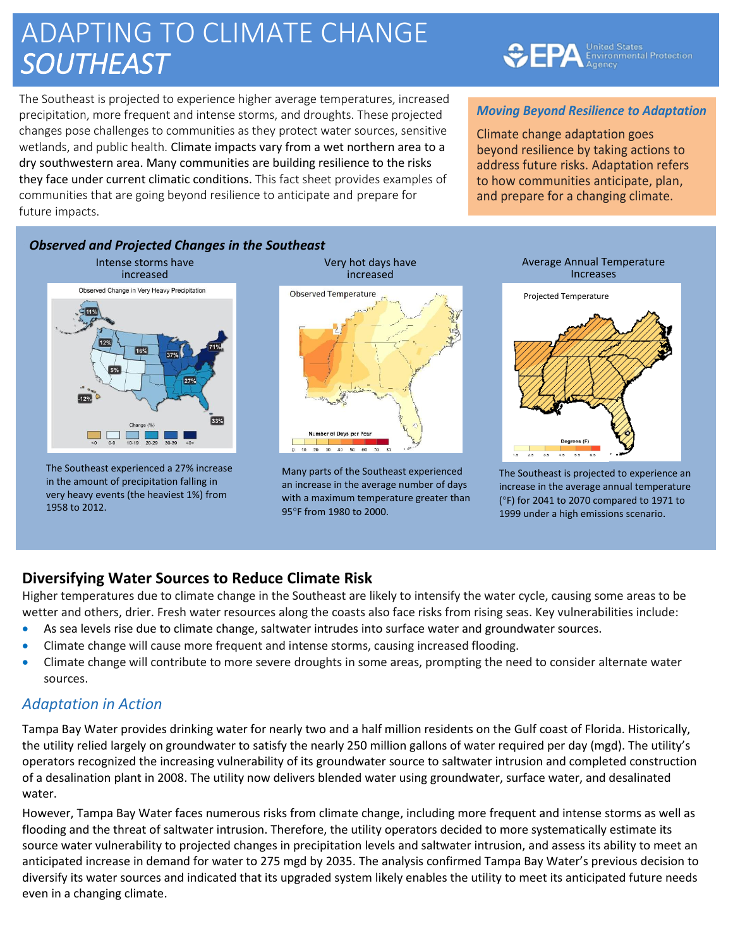# ADAPTING TO CLIMATE CHANGE *SOUTHEAST*

The Southeast is projected to experience higher average temperatures, increased<br>precipitation, more frequent and intense storms, and droughts. These projected changes pose challenges to communities as they protect water sources, sensitive<br>wetlands, and public health. Clim<mark>ate impacts vary from a wet northern area to a</mark> N future impacts. precipitation, more frequent and intense storms, and droughts. These projected wetlands, and public health. Climate impacts vary from a wet northern area to a dry southwestern area. Many communities are building resilience to the risks they face under current climatic conditions. This fact sheet provides examples of communities that are going beyond resilience to anticipate and prepare for

#### *Moving Beyond Resilience to Adaptation*

**United States**<br>Environmental Protection

Climate change adaptation goes beyond resilience by taking actions to address future risks. Adaptation refers to how communities anticipate, plan, and prepare for a changing climate.

#### *Observed and Projected Changes in the Southeast*



The Southeast experienced a 27% increase in the amount of precipitation falling in very heavy events (the heaviest 1%) from 1958 to 2012.



Many parts of the Southeast experienced an increase in the average number of days with a maximum temperature greater than 95°F from 1980 to 2000.

## Increases Projected Temperature

Average Annual Temperature



The Southeast is projected to experience an increase in the average annual temperature (F) for 2041 to 2070 compared to 1971 to 1999 under a high emissions scenario.

## **Diversifying Water Sources to Reduce Climate Risk**

Higher temperatures due to climate change in the Southeast are likely to intensify the water cycle, causing some areas to be wetter and others, drier. Fresh water resources along the coasts also face risks from rising seas. Key vulnerabilities include:

- As sea levels rise due to climate change, saltwater intrudes into surface water and groundwater sources.
- Climate change will cause more frequent and intense storms, causing increased flooding.
- Climate change will contribute to more severe droughts in some areas, prompting the need to consider alternate water sources.

## *Adaptation in Action*

Tampa Bay Water provides drinking water for nearly two and a half million residents on the Gulf coast of Florida. Historically, the utility relied largely on groundwater to satisfy the nearly 250 million gallons of water required per day (mgd). The utility's operators recognized the increasing vulnerability of its groundwater source to saltwater intrusion and completed construction of a desalination plant in 2008. The utility now delivers blended water using groundwater, surface water, and desalinated water.

However, Tampa Bay Water faces numerous risks from climate change, including more frequent and intense storms as well as flooding and the threat of saltwater intrusion. Therefore, the utility operators decided to more systematically estimate its source water vulnerability to projected changes in precipitation levels and saltwater intrusion, and assess its ability to meet an anticipated increase in demand for water to 275 mgd by 2035. The analysis confirmed Tampa Bay Water's previous decision to diversify its water sources and indicated that its upgraded system likely enables the utility to meet its anticipated future needs even in a changing climate.